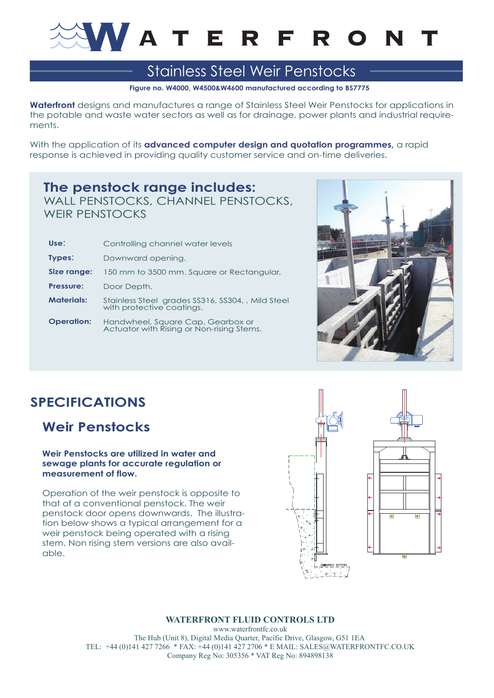

# Stainless Steel Weir Penstocks

**Figure no. W4000, W4500&W4600 manufactured according to BS7775**

**Waterfront** designs and manufactures a range of Stainless Steel Weir Penstocks for applications in the potable and waste water sectors as well as for drainage, power plants and industrial requirements.

With the application of its **advanced computer design and quotation programmes**, a rapid response is achieved in providing quality customer service and on-time deliveries.

### **The penstock range includes:** WALL PENSTOCKS, CHANNEL PENSTOCKS,

WEIR PENSTOCKS

| Use:              | Controlling channel water levels                                               |
|-------------------|--------------------------------------------------------------------------------|
| Types:            | Downward opening.                                                              |
| Size range:       | 150 mm to 3500 mm. Square or Rectangular.                                      |
| <b>Pressure:</b>  | Door Depth.                                                                    |
| <b>Materials:</b> | Stainless Steel grades SS316, SS304, , Mild Steel<br>with protective coatings. |
| <b>Operation:</b> | Handwheel, Square Cap, Gearbox or<br>Actuator with Rising or Non-rising Stems. |



## **SPECIFICATIONS**

## **Weir Penstocks**

#### **Weir Penstocks are utilized in water and sewage plants for accurate regulation or measurement of flow.**

Operation of the weir penstock is opposite to that of a conventional penstock. The weir penstock door opens downwards. The illustration below shows a typical arrangement for a weir penstock being operated with a rising stem. Non rising stem versions are also available.



### **WATERFRONT FLUID CONTROLS LTD**

www.waterfrontfc.co.uk The Hub (Unit 8), Digital Media Quarter, Pacific Drive, Glasgow, G51 1EA TEL: +44 (0)141 427 7266 \* FAX: +44 (0)141 427 2706 \* E MAIL: SALES@WATERFRONTFC.CO.UK Company Reg No: 305356 \* VAT Reg No: 894898138